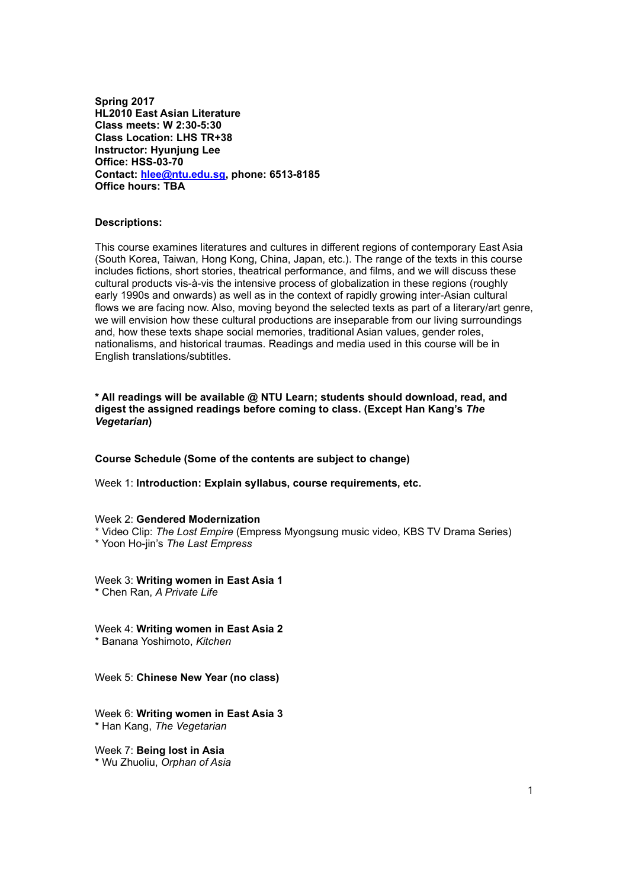**Spring 2017 HL2010 East Asian Literature Class meets: W 2:30-5:30 Class Location: LHS TR+38 Instructor: Hyunjung Lee Office: HSS-03-70 Contact: [hlee@ntu.edu.sg,](mailto:hlee@ntu.edu.sg) phone: 6513-8185 Office hours: TBA**

### **Descriptions:**

This course examines literatures and cultures in different regions of contemporary East Asia (South Korea, Taiwan, Hong Kong, China, Japan, etc.). The range of the texts in this course includes fictions, short stories, theatrical performance, and films, and we will discuss these cultural products vis-à-vis the intensive process of globalization in these regions (roughly early 1990s and onwards) as well as in the context of rapidly growing inter-Asian cultural flows we are facing now. Also, moving beyond the selected texts as part of a literary/art genre, we will envision how these cultural productions are inseparable from our living surroundings and, how these texts shape social memories, traditional Asian values, gender roles, nationalisms, and historical traumas. Readings and media used in this course will be in English translations/subtitles.

**\* All readings will be available @ NTU Learn; students should download, read, and digest the assigned readings before coming to class. (Except Han Kang's** *The Vegetarian***)**

### **Course Schedule (Some of the contents are subject to change)**

Week 1: **Introduction: Explain syllabus, course requirements, etc.**

#### Week 2: **Gendered Modernization**

\* Video Clip: *The Lost Empire* (Empress Myongsung music video, KBS TV Drama Series)

\* Yoon Ho-jin's *The Last Empress*

Week 3: **Writing women in East Asia 1** \* Chen Ran, *A Private Life*

Week 4: **Writing women in East Asia 2** \* Banana Yoshimoto, *Kitchen*

Week 5: **Chinese New Year (no class)**

Week 6: **Writing women in East Asia 3** \* Han Kang, *The Vegetarian*

Week 7: **Being lost in Asia** \* Wu Zhuoliu, *Orphan of Asia*